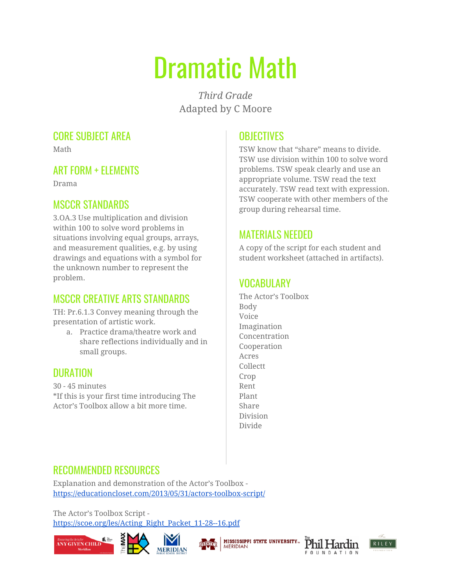# Dramatic Math

*Third Grade* Adapted by C Moore

## CORE SUBJECT AREA

Math

#### ART FORM + ELEMENTS

Drama

#### MSCCR STANDARDS

3.OA.3 Use multiplication and division within 100 to solve word problems in situations involving equal groups, arrays, and measurement qualities, e.g. by using drawings and equations with a symbol for the unknown number to represent the problem.

# MSCCR CREATIVE ARTS STANDARDS

TH: Pr.6.1.3 Convey meaning through the presentation of artistic work.

a. Practice drama/theatre work and share reflections individually and in small groups.

#### DURATION

30 - 45 minutes \*If this is your first time introducing The Actor's Toolbox allow a bit more time.

# **OBJECTIVES**

TSW know that "share" means to divide. TSW use division within 100 to solve word problems. TSW speak clearly and use an appropriate volume. TSW read the text accurately. TSW read text with expression. TSW cooperate with other members of the group during rehearsal time.

## MATERIALS NEEDED

A copy of the script for each student and student worksheet (attached in artifacts).

# **VOCABULARY**

The Actor's Toolbox Body Voice Imagination Concentration Cooperation Acres Collectt Crop Rent Plant Share Division Divide

#### RECOMMENDED RESOURCES

Explanation and demonstration of the Actor's Toolbox <https://educationcloset.com/2013/05/31/actors-toolbox-script/>

The Actor's Toolbox Script [https://scoe.org/les/Acting\\_Right\\_Packet\\_11-28--16.pdf](https://scoe.org/les/Acting_Right_Packet_11-28--16.pdf)